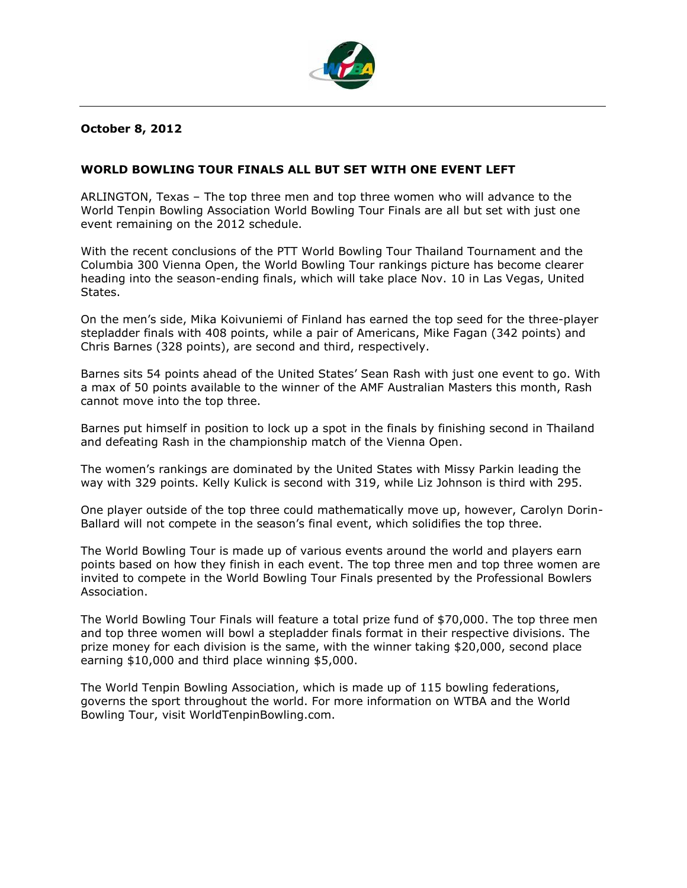

### **October 8, 2012**

### **WORLD BOWLING TOUR FINALS ALL BUT SET WITH ONE EVENT LEFT**

ARLINGTON, Texas – The top three men and top three women who will advance to the World Tenpin Bowling Association World Bowling Tour Finals are all but set with just one event remaining on the 2012 schedule.

With the recent conclusions of the PTT World Bowling Tour Thailand Tournament and the Columbia 300 Vienna Open, the World Bowling Tour rankings picture has become clearer heading into the season-ending finals, which will take place Nov. 10 in Las Vegas, United States.

On the men's side, Mika Koivuniemi of Finland has earned the top seed for the three-player stepladder finals with 408 points, while a pair of Americans, Mike Fagan (342 points) and Chris Barnes (328 points), are second and third, respectively.

Barnes sits 54 points ahead of the United States' Sean Rash with just one event to go. With a max of 50 points available to the winner of the AMF Australian Masters this month, Rash cannot move into the top three.

Barnes put himself in position to lock up a spot in the finals by finishing second in Thailand and defeating Rash in the championship match of the Vienna Open.

The women's rankings are dominated by the United States with Missy Parkin leading the way with 329 points. Kelly Kulick is second with 319, while Liz Johnson is third with 295.

One player outside of the top three could mathematically move up, however, Carolyn Dorin-Ballard will not compete in the season's final event, which solidifies the top three.

The World Bowling Tour is made up of various events around the world and players earn points based on how they finish in each event. The top three men and top three women are invited to compete in the World Bowling Tour Finals presented by the Professional Bowlers Association.

The World Bowling Tour Finals will feature a total prize fund of \$70,000. The top three men and top three women will bowl a stepladder finals format in their respective divisions. The prize money for each division is the same, with the winner taking \$20,000, second place earning \$10,000 and third place winning \$5,000.

The World Tenpin Bowling Association, which is made up of 115 bowling federations, governs the sport throughout the world. For more information on WTBA and the World Bowling Tour, visit WorldTenpinBowling.com.